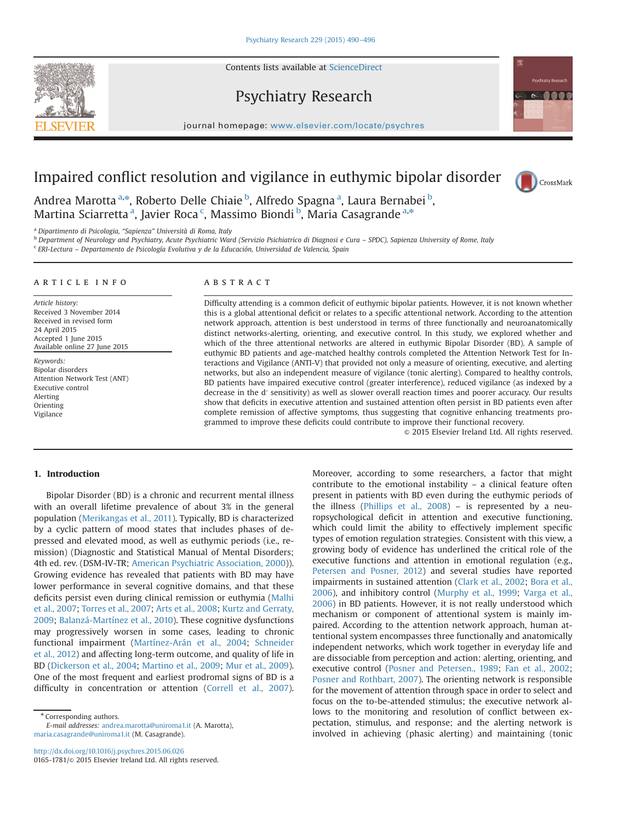Contents lists available at ScienceDirect





journal homepage: <www.elsevier.com/locate/psychres>



# Impaired conflict resolution and vigilance in euthymic bipolar disorder



Andrea Marotta <sup>a,\*</sup>, Roberto Delle Chiaie <sup>b</sup>, Alfredo Spagna <sup>a</sup>, Laura Bernabei <sup>b</sup>, Martina Sciarretta <sup>a</sup>, Javier Roca <sup>c</sup>, Massimo Biondi <sup>b</sup>, Maria Casagrande <sup>a,\*</sup>

<sup>a</sup> Dipartimento di Psicologia, "Sapienza" Università di Roma, Italy

<sup>b</sup> Department of Neurology and Psychiatry, Acute Psychiatric Ward (Servizio Psichiatrico di Diagnosi e Cura – SPDC), Sapienza University of Rome, Italy

<sup>c</sup> ERI-Lectura – Departamento de Psicología Evolutiva y de la Educación, Universidad de Valencia, Spain

### article info

Article history: Received 3 November 2014 Received in revised form 24 April 2015 Accepted 1 June 2015 Available online 27 June 2015

Keywords: Bipolar disorders Attention Network Test (ANT) Executive control Alerting Orienting Vigilance

#### **ABSTRACT**

Difficulty attending is a common deficit of euthymic bipolar patients. However, it is not known whether this is a global attentional deficit or relates to a specific attentional network. According to the attention network approach, attention is best understood in terms of three functionally and neuroanatomically distinct networks-alerting, orienting, and executive control. In this study, we explored whether and which of the three attentional networks are altered in euthymic Bipolar Disorder (BD). A sample of euthymic BD patients and age-matched healthy controls completed the Attention Network Test for Interactions and Vigilance (ANTI-V) that provided not only a measure of orienting, executive, and alerting networks, but also an independent measure of vigilance (tonic alerting). Compared to healthy controls, BD patients have impaired executive control (greater interference), reduced vigilance (as indexed by a decrease in the d′ sensitivity) as well as slower overall reaction times and poorer accuracy. Our results show that deficits in executive attention and sustained attention often persist in BD patients even after complete remission of affective symptoms, thus suggesting that cognitive enhancing treatments programmed to improve these deficits could contribute to improve their functional recovery.

 $© 2015 Elsevier Ireland Ltd. All rights reserved.$ 

### 1. Introduction

Bipolar Disorder (BD) is a chronic and recurrent mental illness with an overall lifetime prevalence of about 3% in the general population (Merikangas et al., 2011). Typically, BD is characterized by a cyclic pattern of mood states that includes phases of depressed and elevated mood, as well as euthymic periods (i.e., remission) (Diagnostic and Statistical Manual of Mental Disorders; 4th ed. rev. (DSM-IV-TR; American Psychiatric Association, 2000)). Growing evidence has revealed that patients with BD may have lower performance in several cognitive domains, and that these deficits persist even during clinical remission or euthymia (Malhi et al., 2007; Torres et al., 2007; Arts et al., 2008; Kurtz and Gerraty, 2009; Balanzá-Martínez et al., 2010). These cognitive dysfunctions may progressively worsen in some cases, leading to chronic functional impairment (Martínez-Arán et al., 2004; Schneider et al., 2012) and affecting long-term outcome, and quality of life in BD (Dickerson et al., 2004; Martino et al., 2009; Mur et al., 2009). One of the most frequent and earliest prodromal signs of BD is a difficulty in concentration or attention (Correll et al., 2007).

\* Corresponding authors.

E-mail addresses: [andrea.marotta@uniroma1.it](mailto:andrea.marotta@uniroma1.it) (A. Marotta), [maria.casagrande@uniroma1.it](mailto:maria.casagrande@uniroma1.it) (M. Casagrande).

<http://dx.doi.org/10.1016/j.psychres.2015.06.026> 0165-1781/© 2015 Elsevier Ireland Ltd. All rights reserved. Moreover, according to some researchers, a factor that might contribute to the emotional instability – a clinical feature often present in patients with BD even during the euthymic periods of the illness (Phillips et al., 2008) – is represented by a neuropsychological deficit in attention and executive functioning, which could limit the ability to effectively implement specific types of emotion regulation strategies. Consistent with this view, a growing body of evidence has underlined the critical role of the executive functions and attention in emotional regulation (e.g., Petersen and Posner, 2012) and several studies have reported impairments in sustained attention (Clark et al., 2002; Bora et al., 2006), and inhibitory control (Murphy et al., 1999; Varga et al., 2006) in BD patients. However, it is not really understood which mechanism or component of attentional system is mainly impaired. According to the attention network approach, human attentional system encompasses three functionally and anatomically independent networks, which work together in everyday life and are dissociable from perception and action: alerting, orienting, and executive control (Posner and Petersen., 1989; Fan et al., 2002; Posner and Rothbart, 2007). The orienting network is responsible for the movement of attention through space in order to select and focus on the to-be-attended stimulus; the executive network allows to the monitoring and resolution of conflict between expectation, stimulus, and response; and the alerting network is involved in achieving (phasic alerting) and maintaining (tonic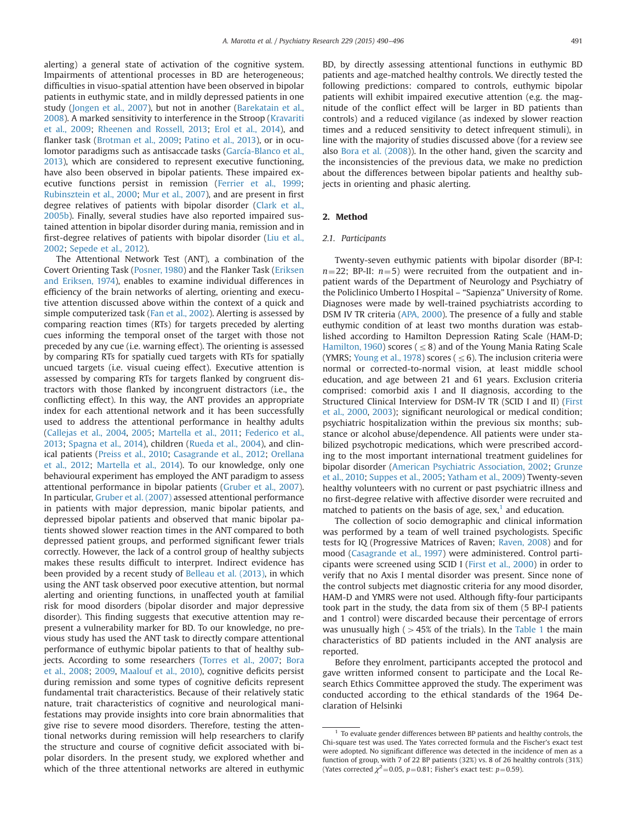alerting) a general state of activation of the cognitive system. Impairments of attentional processes in BD are heterogeneous; difficulties in visuo-spatial attention have been observed in bipolar patients in euthymic state, and in mildly depressed patients in one study (Jongen et al., 2007), but not in another (Barekatain et al., 2008). A marked sensitivity to interference in the Stroop (Kravariti et al., 2009; Rheenen and Rossell, 2013; Erol et al., 2014), and flanker task (Brotman et al., 2009; Patino et al., 2013), or in oculomotor paradigms such as antisaccade tasks (García-Blanco et al., 2013), which are considered to represent executive functioning, have also been observed in bipolar patients. These impaired executive functions persist in remission (Ferrier et al., 1999; Rubinsztein et al., 2000; Mur et al., 2007), and are present in first degree relatives of patients with bipolar disorder (Clark et al., 2005b). Finally, several studies have also reported impaired sustained attention in bipolar disorder during mania, remission and in first-degree relatives of patients with bipolar disorder (Liu et al., 2002; Sepede et al., 2012).

The Attentional Network Test (ANT), a combination of the Covert Orienting Task (Posner, 1980) and the Flanker Task (Eriksen and Eriksen, 1974), enables to examine individual differences in efficiency of the brain networks of alerting, orienting and executive attention discussed above within the context of a quick and simple computerized task (Fan et al., 2002). Alerting is assessed by comparing reaction times (RTs) for targets preceded by alerting cues informing the temporal onset of the target with those not preceded by any cue (i.e. warning effect). The orienting is assessed by comparing RTs for spatially cued targets with RTs for spatially uncued targets (i.e. visual cueing effect). Executive attention is assessed by comparing RTs for targets flanked by congruent distractors with those flanked by incongruent distractors (i.e., the conflicting effect). In this way, the ANT provides an appropriate index for each attentional network and it has been successfully used to address the attentional performance in healthy adults (Callejas et al., 2004, 2005; Martella et al., 2011; Federico et al., 2013; Spagna et al., 2014), children (Rueda et al., 2004), and clinical patients (Preiss et al., 2010; Casagrande et al., 2012; Orellana et al., 2012; Martella et al., 2014). To our knowledge, only one behavioural experiment has employed the ANT paradigm to assess attentional performance in bipolar patients (Gruber et al., 2007). In particular, Gruber et al. (2007) assessed attentional performance in patients with major depression, manic bipolar patients, and depressed bipolar patients and observed that manic bipolar patients showed slower reaction times in the ANT compared to both depressed patient groups, and performed significant fewer trials correctly. However, the lack of a control group of healthy subjects makes these results difficult to interpret. Indirect evidence has been provided by a recent study of Belleau et al. (2013), in which using the ANT task observed poor executive attention, but normal alerting and orienting functions, in unaffected youth at familial risk for mood disorders (bipolar disorder and major depressive disorder). This finding suggests that executive attention may represent a vulnerability marker for BD. To our knowledge, no previous study has used the ANT task to directly compare attentional performance of euthymic bipolar patients to that of healthy subjects. According to some researchers (Torres et al., 2007; Bora et al., 2008; 2009, Maalouf et al., 2010), cognitive deficits persist during remission and some types of cognitive deficits represent fundamental trait characteristics. Because of their relatively static nature, trait characteristics of cognitive and neurological manifestations may provide insights into core brain abnormalities that give rise to severe mood disorders. Therefore, testing the attentional networks during remission will help researchers to clarify the structure and course of cognitive deficit associated with bipolar disorders. In the present study, we explored whether and which of the three attentional networks are altered in euthymic

BD, by directly assessing attentional functions in euthymic BD patients and age-matched healthy controls. We directly tested the following predictions: compared to controls, euthymic bipolar patients will exhibit impaired executive attention (e.g. the magnitude of the conflict effect will be larger in BD patients than controls) and a reduced vigilance (as indexed by slower reaction times and a reduced sensitivity to detect infrequent stimuli), in line with the majority of studies discussed above (for a review see also Bora et al. (2008)). In the other hand, given the scarcity and the inconsistencies of the previous data, we make no prediction about the differences between bipolar patients and healthy subjects in orienting and phasic alerting.

#### 2. Method

### 2.1. Participants

Twenty-seven euthymic patients with bipolar disorder (BP-I:  $n=22$ ; BP-II:  $n=5$ ) were recruited from the outpatient and inpatient wards of the Department of Neurology and Psychiatry of the Policlinico Umberto I Hospital – "Sapienza" University of Rome. Diagnoses were made by well-trained psychiatrists according to DSM IV TR criteria (APA, 2000). The presence of a fully and stable euthymic condition of at least two months duration was established according to Hamilton Depression Rating Scale (HAM-D; Hamilton, 1960) scores ( $\leq$ 8) and of the Young Mania Rating Scale (YMRS; Young et al., 1978) scores ( $\leq 6$ ). The inclusion criteria were normal or corrected-to-normal vision, at least middle school education, and age between 21 and 61 years. Exclusion criteria comprised: comorbid axis I and II diagnosis, according to the Structured Clinical Interview for DSM-IV TR (SCID I and II) (First et al., 2000, 2003); significant neurological or medical condition; psychiatric hospitalization within the previous six months; substance or alcohol abuse/dependence. All patients were under stabilized psychotropic medications, which were prescribed according to the most important international treatment guidelines for bipolar disorder (American Psychiatric Association, 2002; Grunze et al., 2010; Suppes et al., 2005; Yatham et al., 2009) Twenty-seven healthy volunteers with no current or past psychiatric illness and no first-degree relative with affective disorder were recruited and matched to patients on the basis of age,  $sex<sub>1</sub><sup>1</sup>$  and education.

The collection of socio demographic and clinical information was performed by a team of well trained psychologists. Specific tests for IQ (Progressive Matrices of Raven; Raven, 2008) and for mood (Casagrande et al., 1997) were administered. Control participants were screened using SCID I (First et al., 2000) in order to verify that no Axis I mental disorder was present. Since none of the control subjects met diagnostic criteria for any mood disorder, HAM-D and YMRS were not used. Although fifty-four participants took part in the study, the data from six of them (5 BP-I patients and 1 control) were discarded because their percentage of errors was unusually high ( $>45\%$  of the trials). In the Table 1 the main characteristics of BD patients included in the ANT analysis are reported.

Before they enrolment, participants accepted the protocol and gave written informed consent to participate and the Local Research Ethics Committee approved the study. The experiment was conducted according to the ethical standards of the 1964 Declaration of Helsinki

<sup>&</sup>lt;sup>1</sup> To evaluate gender differences between BP patients and healthy controls, the Chi-square test was used. The Yates corrected formula and the Fischer's exact test were adopted. No significant difference was detected in the incidence of men as a function of group, with 7 of 22 BP patients (32%) vs. 8 of 26 healthy controls (31%) (Yates corrected  $\chi^2$  = 0.05, p = 0.81; Fisher's exact test: p = 0.59).